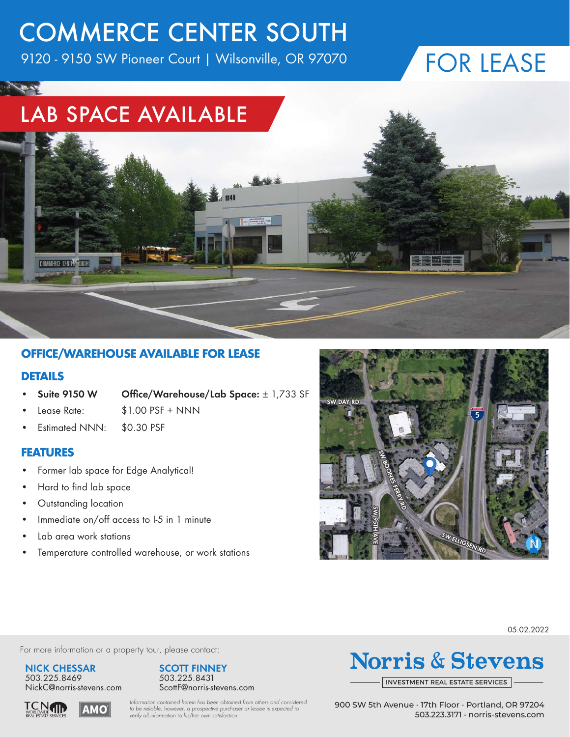# COMMERCE CENTER SOUTH

9120 - 9150 SW Pioneer Court | Wilsonville, OR 97070

## FOR LEASE

### LAB SPACE AVAILABLE



#### **OFFICE/WAREHOUSE AVAILABLE FOR LEASE**

#### **DETAILS**

- **• Suite 9150 W Office/Warehouse/Lab Space:** ± 1,733 SF
- 
- Lease Rate: \$1.00 PSF + NNN
- Estimated NNN: \$0.30 PSF

#### **FEATURES**

- Former lab space for Edge Analytical!
- Hard to find lab space
- Outstanding location
- Immediate on/off access to I-5 in 1 minute
- Lab area work stations
- Temperature controlled warehouse, or work stations



05.02.2022

For more information or a property tour, please contact:

**NICK CHESSAR** 503.225.8469 NickC@norris-stevens.com



## **Norris & Stevens**

INVESTMENT [REAL ESTATE SERVICES](http://www.norris-stevens.com)

**TCNTN** ϤϺΟ *Information contained herein has been obtained from others and considered to be reliable; however, a prospective purchaser or lessee is expected to verify all information to his/her own satisfaction.*

900 SW 5th Avenue • 17th Floor • Portland, OR 97204 503.223.3171 • [norris-stevens.com](http://www.norris-stevens.com)